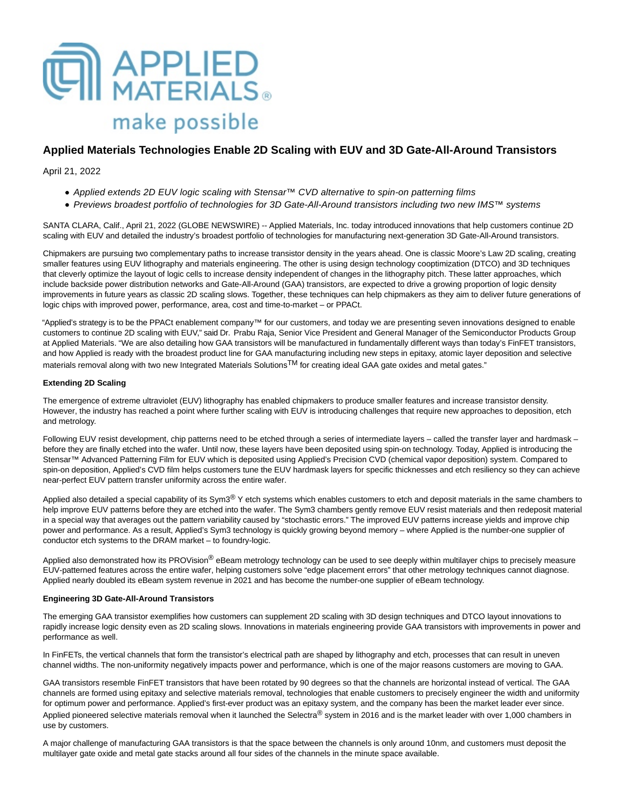

# **Applied Materials Technologies Enable 2D Scaling with EUV and 3D Gate-All-Around Transistors**

April 21, 2022

- Applied extends 2D EUV logic scaling with Stensar™ CVD alternative to spin-on patterning films
- Previews broadest portfolio of technologies for 3D Gate-All-Around transistors including two new IMS™ systems

SANTA CLARA, Calif., April 21, 2022 (GLOBE NEWSWIRE) -- Applied Materials, Inc. today introduced innovations that help customers continue 2D scaling with EUV and detailed the industry's broadest portfolio of technologies for manufacturing next-generation 3D Gate-All-Around transistors.

Chipmakers are pursuing two complementary paths to increase transistor density in the years ahead. One is classic Moore's Law 2D scaling, creating smaller features using EUV lithography and materials engineering. The other is using design technology cooptimization (DTCO) and 3D techniques that cleverly optimize the layout of logic cells to increase density independent of changes in the lithography pitch. These latter approaches, which include backside power distribution networks and Gate-All-Around (GAA) transistors, are expected to drive a growing proportion of logic density improvements in future vears as classic 2D scaling slows. Together, these techniques can help chipmakers as they aim to deliver future generations of logic chips with improved power, performance, area, cost and time-to-market – or PPACt.

"Applied's strategy is to be the PPACt enablement company™ for our customers, and today we are presenting seven innovations designed to enable customers to continue 2D scaling with EUV," said Dr. Prabu Raja, Senior Vice President and General Manager of the Semiconductor Products Group at Applied Materials. "We are also detailing how GAA transistors will be manufactured in fundamentally different ways than today's FinFET transistors, and how Applied is ready with the broadest product line for GAA manufacturing including new steps in epitaxy, atomic layer deposition and selective materials removal along with two new Integrated Materials Solutions<sup>TM</sup> for creating ideal GAA gate oxides and metal gates."

# **Extending 2D Scaling**

The emergence of extreme ultraviolet (EUV) lithography has enabled chipmakers to produce smaller features and increase transistor density. However, the industry has reached a point where further scaling with EUV is introducing challenges that require new approaches to deposition, etch and metrology.

Following EUV resist development, chip patterns need to be etched through a series of intermediate layers – called the transfer layer and hardmask – before they are finally etched into the wafer. Until now, these layers have been deposited using spin-on technology. Today, Applied is introducing the Stensar™ Advanced Patterning Film for EUV which is deposited using Applied's Precision CVD (chemical vapor deposition) system. Compared to spin-on deposition, Applied's CVD film helps customers tune the EUV hardmask layers for specific thicknesses and etch resiliency so they can achieve near-perfect EUV pattern transfer uniformity across the entire wafer.

Applied also detailed a special capability of its Sym3<sup>®</sup> Y etch systems which enables customers to etch and deposit materials in the same chambers to help improve EUV patterns before they are etched into the wafer. The Sym3 chambers gently remove EUV resist materials and then redeposit material in a special way that averages out the pattern variability caused by "stochastic errors." The improved EUV patterns increase yields and improve chip power and performance. As a result, Applied's Sym3 technology is quickly growing beyond memory – where Applied is the number-one supplier of conductor etch systems to the DRAM market – to foundry-logic.

Applied also demonstrated how its PROVision® eBeam metrology technology can be used to see deeply within multilayer chips to precisely measure EUV-patterned features across the entire wafer, helping customers solve "edge placement errors" that other metrology techniques cannot diagnose. Applied nearly doubled its eBeam system revenue in 2021 and has become the number-one supplier of eBeam technology.

# **Engineering 3D Gate-All-Around Transistors**

The emerging GAA transistor exemplifies how customers can supplement 2D scaling with 3D design techniques and DTCO layout innovations to rapidly increase logic density even as 2D scaling slows. Innovations in materials engineering provide GAA transistors with improvements in power and performance as well.

In FinFETs, the vertical channels that form the transistor's electrical path are shaped by lithography and etch, processes that can result in uneven channel widths. The non-uniformity negatively impacts power and performance, which is one of the major reasons customers are moving to GAA.

GAA transistors resemble FinFET transistors that have been rotated by 90 degrees so that the channels are horizontal instead of vertical. The GAA channels are formed using epitaxy and selective materials removal, technologies that enable customers to precisely engineer the width and uniformity for optimum power and performance. Applied's first-ever product was an epitaxy system, and the company has been the market leader ever since. Applied pioneered selective materials removal when it launched the Selectra<sup>®</sup> system in 2016 and is the market leader with over 1,000 chambers in use by customers.

A major challenge of manufacturing GAA transistors is that the space between the channels is only around 10nm, and customers must deposit the multilayer gate oxide and metal gate stacks around all four sides of the channels in the minute space available.